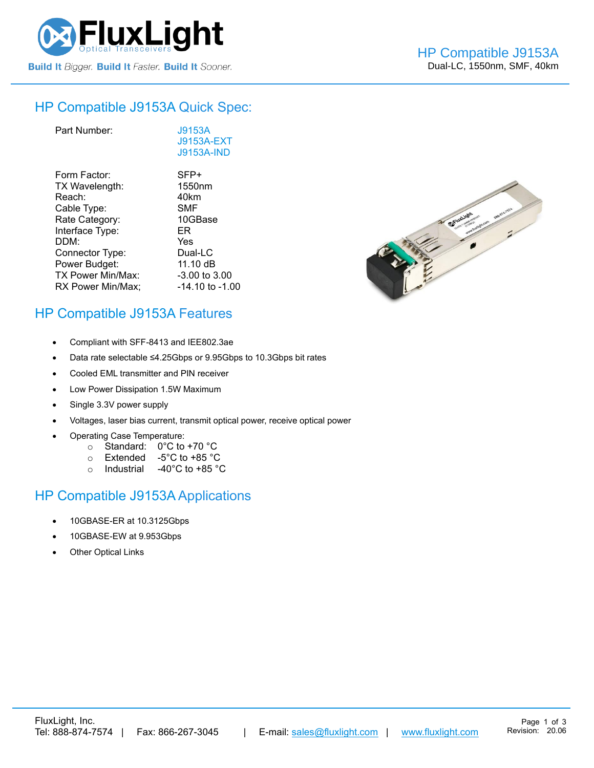

#### HP Compatible [J9153A](https://www.fluxlight.com/j9153a/) Quick Spec:

| J9153A<br>J9153A-EXT<br><b>J9153A-IND</b> |
|-------------------------------------------|
| SFP+                                      |
| 1550 <sub>nm</sub>                        |
| 40km                                      |
| <b>SMF</b>                                |
| 10GBase                                   |
| ER                                        |
| Yes                                       |
| Dual-LC                                   |
| 11.10 dB                                  |
| -3.00 to 3.00                             |
| -14.10 to -1.00                           |
|                                           |



## HP Compatible [J9153A](https://www.fluxlight.com/j9153a/) Features

- Compliant with SFF-8413 and IEE802.3ae
- Data rate selectable ≤4.25Gbps or 9.95Gbps to 10.3Gbps bit rates
- Cooled EML transmitter and PIN receiver
- Low Power Dissipation 1.5W Maximum
- Single 3.3V power supply
- Voltages, laser bias current, transmit optical power, receive optical power
- Operating Case Temperature:
	- o Standard: 0°C to +70 °C
	- o Extended -5°C to +85 °C
	- o Industrial -40°C to +85 °C

## HP Compatible [J9153A](https://www.fluxlight.com/j9153a/) Applications

- 10GBASE-ER at 10.3125Gbps
- 10GBASE-EW at 9.953Gbps
- **Other Optical Links**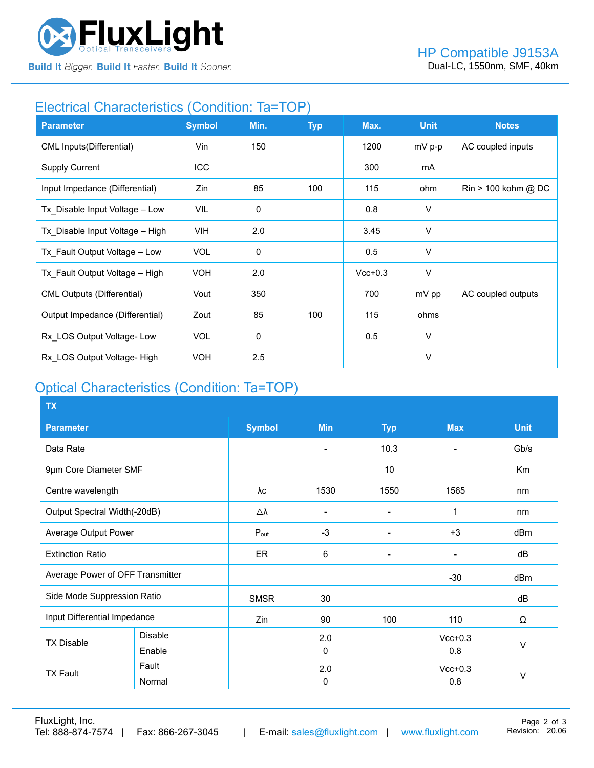

**Build It Bigger. Build It Faster. Build It Sooner.** 

## Electrical Characteristics (Condition: Ta=TOP)

| <b>Parameter</b>                  | <b>Symbol</b> | Min.        | <b>Typ</b> | Max.      | <b>Unit</b> | <b>Notes</b>                          |
|-----------------------------------|---------------|-------------|------------|-----------|-------------|---------------------------------------|
| CML Inputs(Differential)          | Vin           | 150         |            | 1200      | mV p-p      | AC coupled inputs                     |
| <b>Supply Current</b>             | ICC           |             |            | 300       | mA          |                                       |
| Input Impedance (Differential)    | Zin           | 85          | 100        | 115       | ohm         | $\text{Rin} > 100 \text{ kohm } @$ DC |
| Tx_Disable Input Voltage - Low    | VIL           | $\mathbf 0$ |            | 0.8       | V           |                                       |
| Tx Disable Input Voltage - High   | VIH.          | 2.0         |            | 3.45      | V           |                                       |
| Tx Fault Output Voltage - Low     | <b>VOL</b>    | $\mathbf 0$ |            | 0.5       | $\vee$      |                                       |
| Tx Fault Output Voltage - High    | <b>VOH</b>    | 2.0         |            | $Vcc+0.3$ | V           |                                       |
| <b>CML Outputs (Differential)</b> | Vout          | 350         |            | 700       | mV pp       | AC coupled outputs                    |
| Output Impedance (Differential)   | Zout          | 85          | 100        | 115       | ohms        |                                       |
| Rx LOS Output Voltage-Low         | <b>VOL</b>    | 0           |            | 0.5       | $\vee$      |                                       |
| Rx LOS Output Voltage- High       | <b>VOH</b>    | 2.5         |            |           | $\vee$      |                                       |

# Optical Characteristics (Condition: Ta=TOP)

| <b>TX</b>                        |                |                     |                          |                          |                          |                |  |
|----------------------------------|----------------|---------------------|--------------------------|--------------------------|--------------------------|----------------|--|
| <b>Parameter</b>                 |                | <b>Symbol</b>       | <b>Min</b>               | <b>Typ</b>               | <b>Max</b>               | <b>Unit</b>    |  |
| Data Rate                        |                |                     | $\overline{\phantom{0}}$ | 10.3                     | $\blacksquare$           | Gb/s           |  |
| 9µm Core Diameter SMF            |                |                     |                          | 10                       |                          | K <sub>m</sub> |  |
| Centre wavelength                |                | λc                  | 1530                     | 1550                     | 1565                     | nm             |  |
| Output Spectral Width(-20dB)     |                | $\triangle \lambda$ | $\overline{\phantom{0}}$ |                          | 1                        | nm             |  |
| Average Output Power             |                | $P_{\text{out}}$    | $-3$                     |                          | $+3$                     | dBm            |  |
| <b>Extinction Ratio</b>          |                | <b>ER</b>           | 6                        | $\overline{\phantom{0}}$ | $\overline{\phantom{a}}$ | dB             |  |
| Average Power of OFF Transmitter |                |                     |                          |                          | $-30$                    | dBm            |  |
| Side Mode Suppression Ratio      |                | <b>SMSR</b>         | 30                       |                          |                          | dB             |  |
| Input Differential Impedance     |                | Zin                 | 90                       | 100                      | 110                      | Ω              |  |
| <b>TX Disable</b>                | <b>Disable</b> |                     | 2.0                      |                          | $Vcc+0.3$                |                |  |
|                                  | Enable         |                     | $\Omega$                 |                          | 0.8                      | V              |  |
| <b>TX Fault</b>                  | Fault          |                     | 2.0                      |                          | $Vcc+0.3$                |                |  |
|                                  | Normal         |                     | $\mathbf 0$              |                          | 0.8                      | $\vee$         |  |